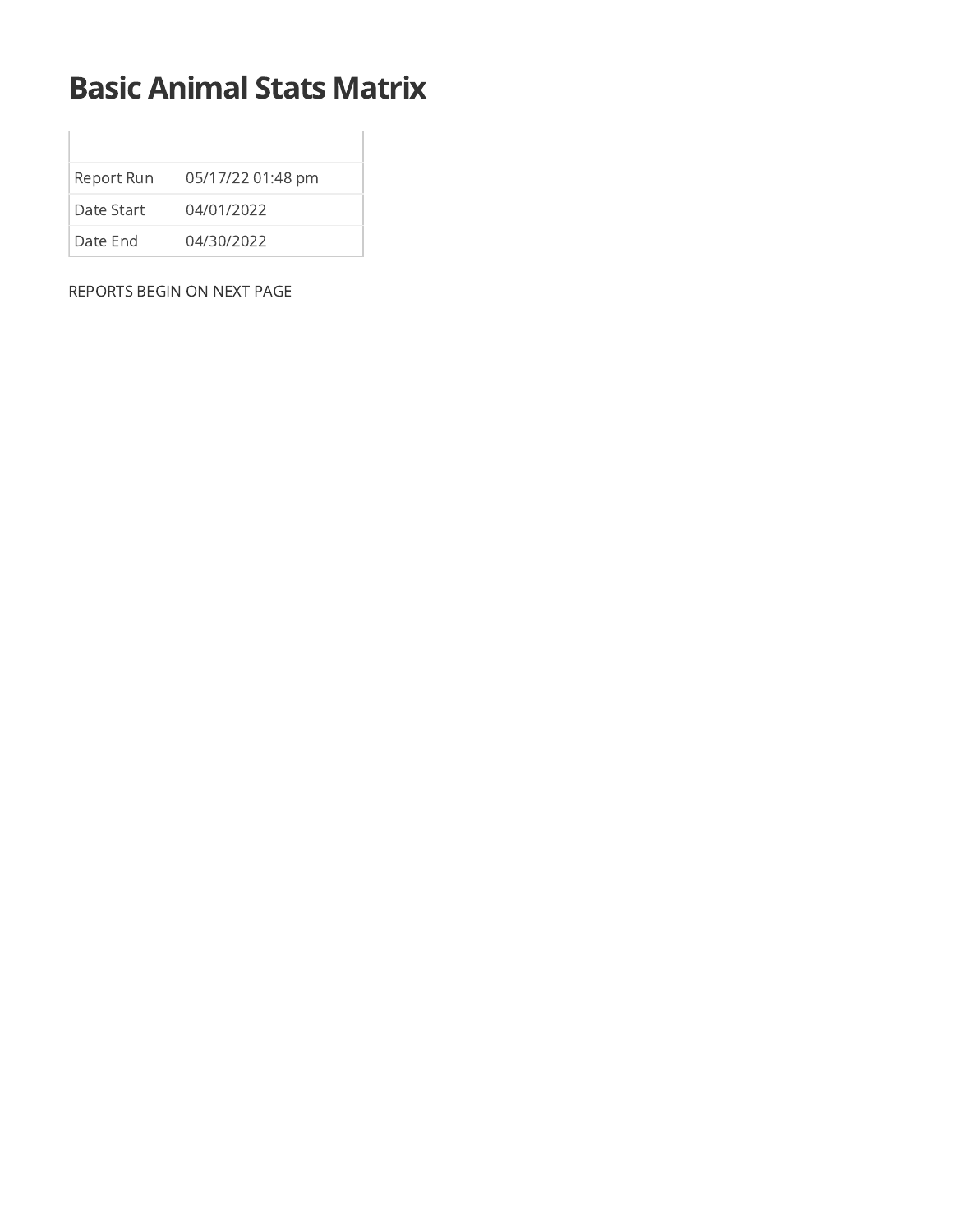## Basic Animal Stats Matrix

| Report Run  | 05/17/22 01:48 pm |
|-------------|-------------------|
| Date Start. | 04/01/2022        |
| Date End    | 04/30/2022        |

REPORTS BEGIN ON NEXT PAGE

 $\Box$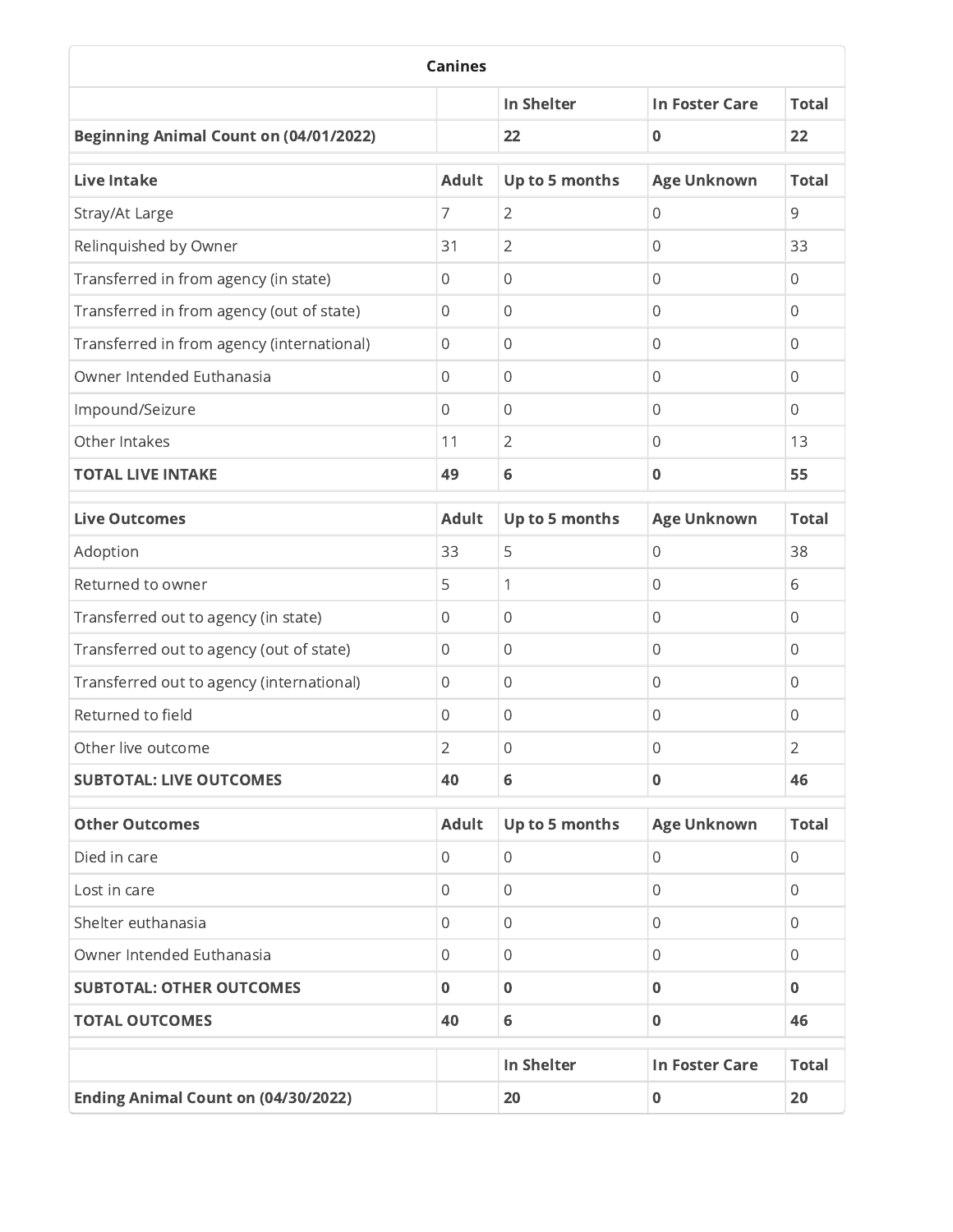| <b>Canines</b>                                |                |                   |                       |                |
|-----------------------------------------------|----------------|-------------------|-----------------------|----------------|
|                                               |                | <b>In Shelter</b> | <b>In Foster Care</b> | <b>Total</b>   |
| <b>Beginning Animal Count on (04/01/2022)</b> |                | 22                | $\mathbf 0$           | 22             |
| <b>Live Intake</b>                            | <b>Adult</b>   | Up to 5 months    | <b>Age Unknown</b>    | <b>Total</b>   |
| Stray/At Large                                | 7              | $\overline{2}$    | $\overline{0}$        | 9              |
| Relinquished by Owner                         | 31             | $\overline{2}$    | $\overline{0}$        | 33             |
| Transferred in from agency (in state)         | 0              | 0                 | $\mathbf{0}$          | $\Omega$       |
| Transferred in from agency (out of state)     | $\mathbf{0}$   | $\overline{0}$    | $\overline{0}$        | $\Omega$       |
| Transferred in from agency (international)    | 0              | $\overline{0}$    | $\overline{0}$        | $\Omega$       |
| Owner Intended Euthanasia                     | $\mathbf 0$    | $\overline{0}$    | $\overline{0}$        | $\Omega$       |
| Impound/Seizure                               | $\mathbf{0}$   | $\mathbf{0}$      | 0                     | $\Omega$       |
| Other Intakes                                 | 11             | $\overline{2}$    | $\overline{0}$        | 13             |
| <b>TOTAL LIVE INTAKE</b>                      | 49             | 6                 | $\bf{0}$              | 55             |
| <b>Live Outcomes</b>                          | <b>Adult</b>   | Up to 5 months    | <b>Age Unknown</b>    | <b>Total</b>   |
| Adoption                                      | 33             | 5                 | $\overline{0}$        | 38             |
| Returned to owner                             | 5              | 1                 | $\overline{0}$        | 6              |
| Transferred out to agency (in state)          | $\mathbf 0$    | $\overline{0}$    | $\mathbf 0$           | $\Omega$       |
| Transferred out to agency (out of state)      | $\mathbf 0$    | $\mathbf 0$       | $\overline{0}$        | $\mathbf 0$    |
| Transferred out to agency (international)     | $\mathbf 0$    | $\overline{0}$    | $\mathbf 0$           | $\mathbf 0$    |
| Returned to field                             | $\mathbf 0$    | $\overline{0}$    | $\overline{0}$        | $\mathbf 0$    |
| Other live outcome                            | 2              | 0                 | 0                     | $\overline{2}$ |
| <b>SUBTOTAL: LIVE OUTCOMES</b>                | 40             | 6                 | $\bf{0}$              | 46             |
| <b>Other Outcomes</b>                         | <b>Adult</b>   | Up to 5 months    | <b>Age Unknown</b>    | <b>Total</b>   |
| Died in care                                  | $\mathbf{0}$   | $\overline{0}$    | $\mathbf 0$           | $\mathbf 0$    |
| Lost in care                                  | $\overline{0}$ | $\overline{0}$    | $\mathbf 0$           | $\overline{0}$ |
| Shelter euthanasia                            | 0              | 0                 | $\mathbf{0}$          | $\Omega$       |
| Owner Intended Euthanasia                     | $\mathbf 0$    | $\overline{0}$    | $\mathbf 0$           | $\mathbf 0$    |
| <b>SUBTOTAL: OTHER OUTCOMES</b>               | $\mathbf 0$    | $\bf{0}$          | $\bf{0}$              | $\bf{0}$       |
| <b>TOTAL OUTCOMES</b>                         | 40             | 6                 | $\bf{0}$              | 46             |
|                                               |                | <b>In Shelter</b> | <b>In Foster Care</b> | <b>Total</b>   |
| <b>Ending Animal Count on (04/30/2022)</b>    |                | 20                | $\bf{0}$              | 20             |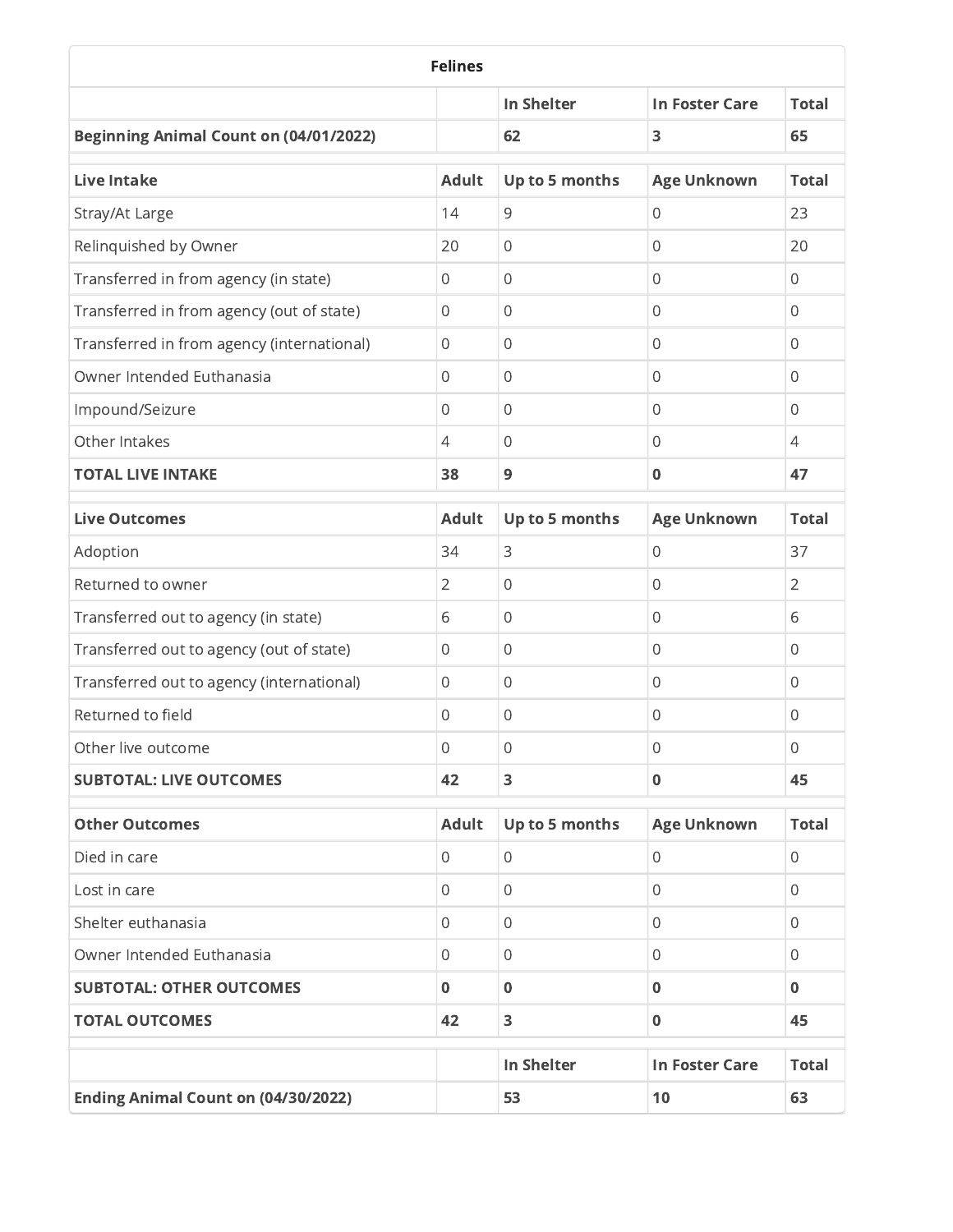| <b>Felines</b>                                |                  |                   |                       |                |
|-----------------------------------------------|------------------|-------------------|-----------------------|----------------|
|                                               |                  | <b>In Shelter</b> | <b>In Foster Care</b> | <b>Total</b>   |
| <b>Beginning Animal Count on (04/01/2022)</b> |                  | 62                | 3                     | 65             |
| <b>Live Intake</b>                            | <b>Adult</b>     | Up to 5 months    | <b>Age Unknown</b>    | <b>Total</b>   |
| Stray/At Large                                | 14               | 9                 | 0                     | 23             |
| Relinquished by Owner                         | 20               | $\mathbf 0$       | 0                     | 20             |
| Transferred in from agency (in state)         | 0                | 0                 | 0                     | 0              |
| Transferred in from agency (out of state)     | 0                | $\mathbf 0$       | 0                     | 0              |
| Transferred in from agency (international)    | $\,0\,$          | $\mathbf 0$       | 0                     | $\Omega$       |
| Owner Intended Euthanasia                     | $\mathbf{0}$     | $\mathbf 0$       | 0                     | $\Omega$       |
| Impound/Seizure                               | $\mathbf{0}$     | 0                 | 0                     | 0              |
| Other Intakes                                 | $\overline{4}$   | $\mathbf 0$       | 0                     | $\overline{4}$ |
| <b>TOTAL LIVE INTAKE</b>                      | 38               | $\overline{9}$    | 0                     | 47             |
| <b>Live Outcomes</b>                          | <b>Adult</b>     | Up to 5 months    | <b>Age Unknown</b>    | <b>Total</b>   |
| Adoption                                      | 34               | 3                 | 0                     | 37             |
| Returned to owner                             | $\overline{2}$   | $\mathbf 0$       | 0                     | $\overline{2}$ |
| Transferred out to agency (in state)          | 6                | $\mathbf 0$       | 0                     | 6              |
| Transferred out to agency (out of state)      | $\boldsymbol{0}$ | $\mathbf 0$       | 0                     | 0              |
| Transferred out to agency (international)     | $\mathbf 0$      | $\mathbf 0$       | 0                     | 0              |
| Returned to field                             | $\mathbf 0$      | $\mathbf 0$       | 0                     | 0              |
| Other live outcome                            | $\mathbf{0}$     | 0                 | 0                     | $\mathbf{0}$   |
| <b>SUBTOTAL: LIVE OUTCOMES</b>                | 42               | 3                 | $\pmb{0}$             | 45             |
| <b>Other Outcomes</b>                         | <b>Adult</b>     | Up to 5 months    | <b>Age Unknown</b>    | <b>Total</b>   |
| Died in care                                  | $\overline{0}$   | 0                 | 0                     | 0              |
| Lost in care                                  | 0                | $\mathbf 0$       | 0                     | 0              |
| Shelter euthanasia                            | 0                | 0                 | 0                     | $\mathbf{0}$   |
| Owner Intended Euthanasia                     | 0                | $\mathbf 0$       | 0                     | $\mathbf{0}$   |
| <b>SUBTOTAL: OTHER OUTCOMES</b>               | $\bf{0}$         | $\mathbf 0$       | 0                     | $\mathbf{0}$   |
| <b>TOTAL OUTCOMES</b>                         | 42               | 3                 | $\bf{0}$              | 45             |
|                                               |                  | In Shelter        | <b>In Foster Care</b> | <b>Total</b>   |
| <b>Ending Animal Count on (04/30/2022)</b>    |                  | 53                | 10                    | 63             |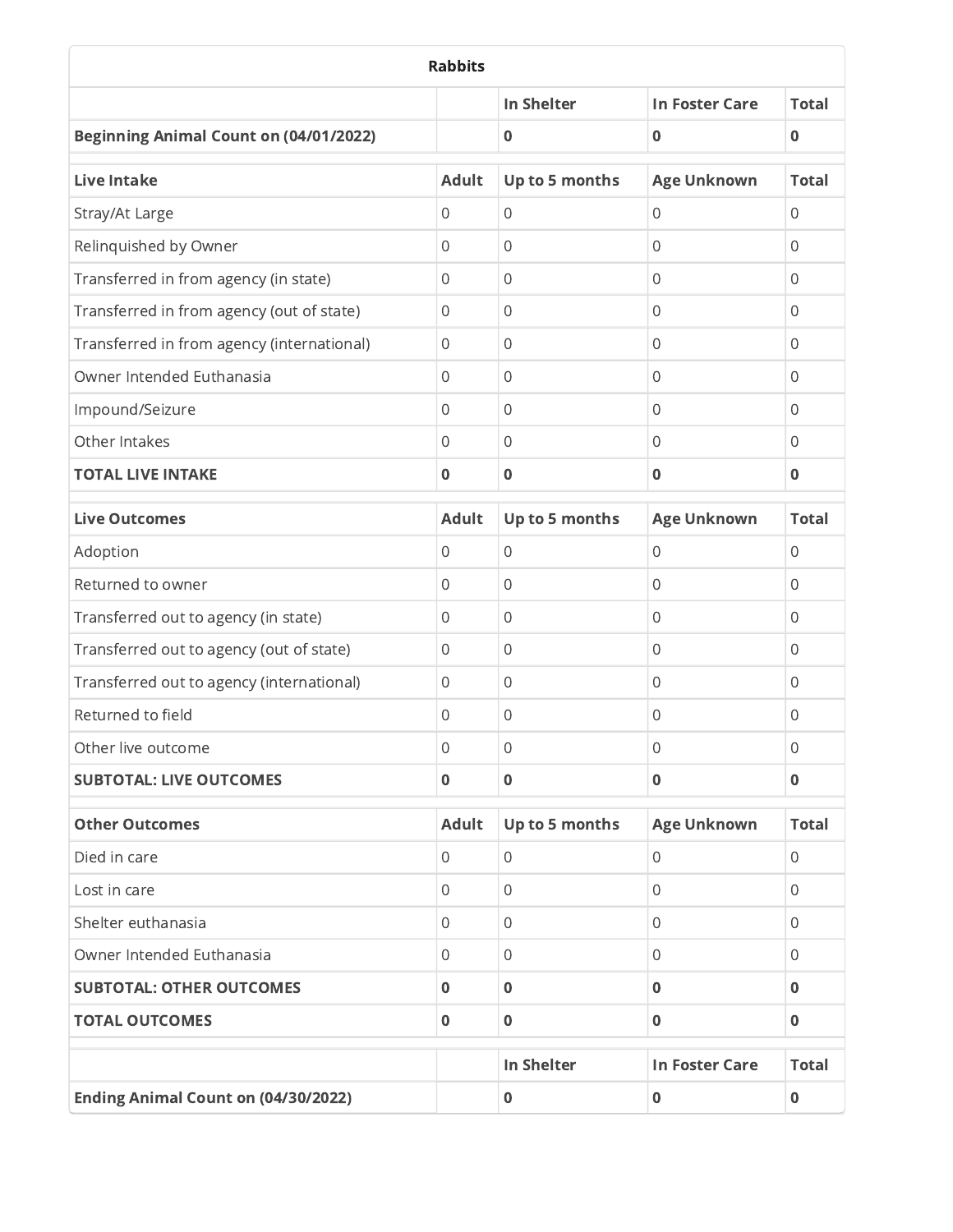| <b>Rabbits</b>                                |                |                   |                       |                |
|-----------------------------------------------|----------------|-------------------|-----------------------|----------------|
|                                               |                | <b>In Shelter</b> | <b>In Foster Care</b> | <b>Total</b>   |
| <b>Beginning Animal Count on (04/01/2022)</b> |                | $\mathbf 0$       | 0                     | $\mathbf 0$    |
| <b>Live Intake</b>                            | <b>Adult</b>   | Up to 5 months    | <b>Age Unknown</b>    | <b>Total</b>   |
| Stray/At Large                                | $\mathbf{0}$   | $\overline{0}$    | 0                     | 0              |
| Relinquished by Owner                         | $\mathbf{0}$   | $\mathbf 0$       | 0                     | $\Omega$       |
| Transferred in from agency (in state)         | 0              | $\mathbf 0$       | 0                     | 0              |
| Transferred in from agency (out of state)     | $\mathbf{0}$   | $\mathbf 0$       | 0                     | 0              |
| Transferred in from agency (international)    | $\mathbf{0}$   | $\mathbf 0$       | 0                     | $\Omega$       |
| Owner Intended Euthanasia                     | $\mathbf{0}$   | $\mathbf 0$       | 0                     | 0              |
| Impound/Seizure                               | $\mathbf{0}$   | $\mathbf 0$       | 0                     | 0              |
| Other Intakes                                 | $\mathbf{0}$   | $\mathbf 0$       | 0                     | 0              |
| <b>TOTAL LIVE INTAKE</b>                      | $\bf{0}$       | $\bf{0}$          | 0                     | $\bf{0}$       |
| <b>Live Outcomes</b>                          | <b>Adult</b>   | Up to 5 months    | <b>Age Unknown</b>    | <b>Total</b>   |
| Adoption                                      | $\mathbf{0}$   | $\mathbf 0$       | 0                     | $\mathbf 0$    |
| Returned to owner                             | $\mathbf 0$    | $\overline{0}$    | 0                     | 0              |
| Transferred out to agency (in state)          | $\mathbf{0}$   | $\overline{0}$    | 0                     | $\Omega$       |
| Transferred out to agency (out of state)      | $\mathbf{0}$   | $\mathbf 0$       | 0                     | $\Omega$       |
| Transferred out to agency (international)     | $\mathbf 0$    | $\mathbf 0$       | 0                     | $\Omega$       |
| Returned to field                             | $\mathbf 0$    | $\mathbf 0$       | 0                     | $\overline{0}$ |
| Other live outcome                            | 0              | 0                 | 0                     | 0              |
| <b>SUBTOTAL: LIVE OUTCOMES</b>                | $\mathbf 0$    | $\mathbf 0$       | $\bf{0}$              | $\mathbf 0$    |
| <b>Other Outcomes</b>                         | <b>Adult</b>   | Up to 5 months    | <b>Age Unknown</b>    | <b>Total</b>   |
| Died in care                                  | $\overline{0}$ | 0                 | 0                     | 0              |
| Lost in care                                  | 0              | $\mathbf 0$       | 0                     | 0              |
| Shelter euthanasia                            | $\mathbf{0}$   | 0                 | 0                     | $\mathbf{0}$   |
| Owner Intended Euthanasia                     | 0              | $\,0\,$           | 0                     | $\mathbf{0}$   |
| <b>SUBTOTAL: OTHER OUTCOMES</b>               | $\mathbf 0$    | $\mathbf 0$       | 0                     | $\bf{0}$       |
| <b>TOTAL OUTCOMES</b>                         | $\mathbf 0$    | $\mathbf 0$       | $\bf{0}$              | $\bf{0}$       |
|                                               |                | In Shelter        | <b>In Foster Care</b> | <b>Total</b>   |
| <b>Ending Animal Count on (04/30/2022)</b>    |                | $\mathbf 0$       | $\pmb{0}$             | $\mathbf 0$    |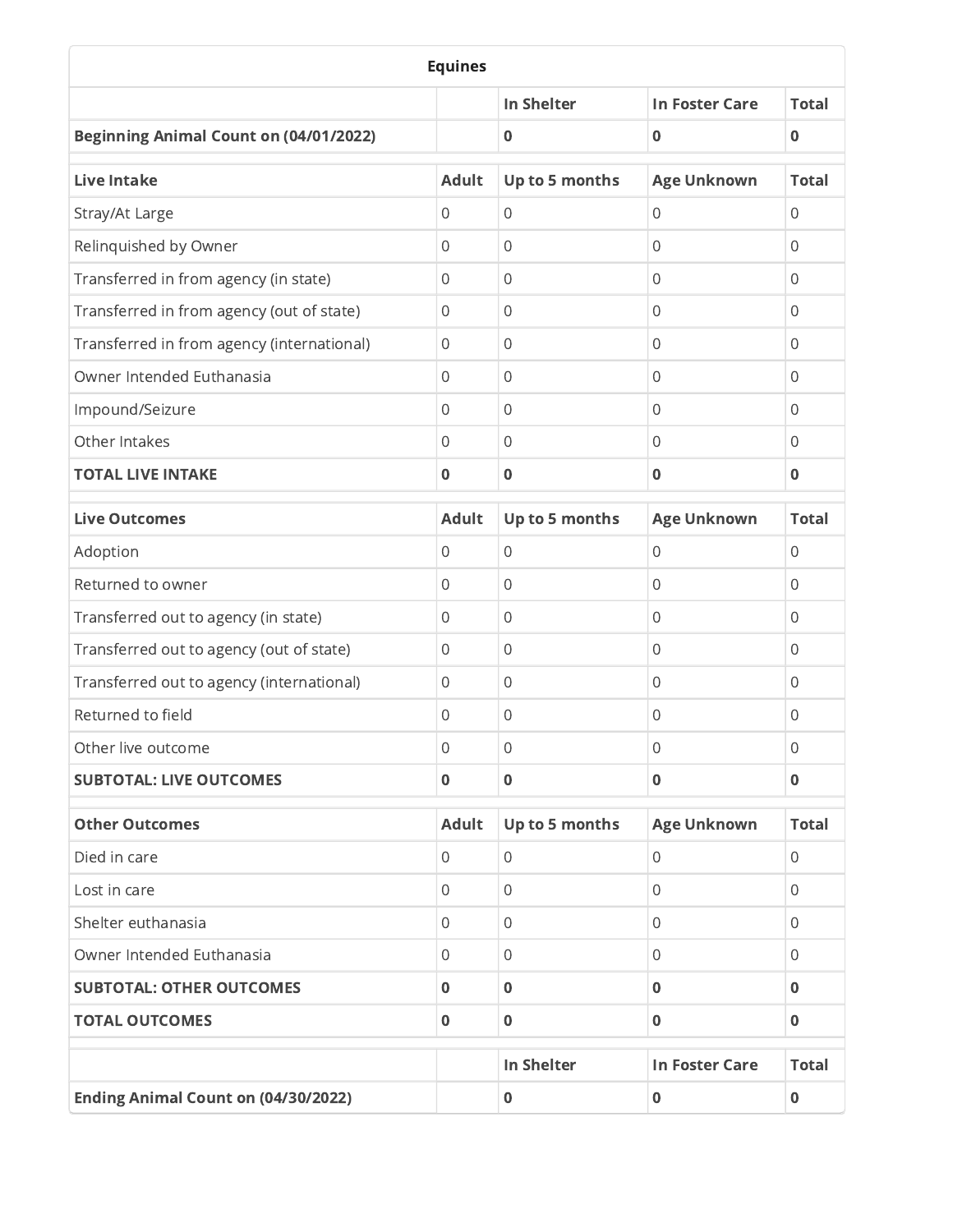| <b>Equines</b>                                |                  |                   |                       |              |
|-----------------------------------------------|------------------|-------------------|-----------------------|--------------|
|                                               |                  | <b>In Shelter</b> | <b>In Foster Care</b> | <b>Total</b> |
| <b>Beginning Animal Count on (04/01/2022)</b> |                  | $\bf{0}$          | 0                     | $\bf{0}$     |
| <b>Live Intake</b>                            | <b>Adult</b>     | Up to 5 months    | <b>Age Unknown</b>    | <b>Total</b> |
| Stray/At Large                                | 0                | $\overline{0}$    | 0                     | 0            |
| Relinquished by Owner                         | $\mathbf{0}$     | $\mathbf 0$       | 0                     | $\Omega$     |
| Transferred in from agency (in state)         | 0                | 0                 | 0                     | 0            |
| Transferred in from agency (out of state)     | 0                | $\mathbf 0$       | 0                     | $\Omega$     |
| Transferred in from agency (international)    | $\,0\,$          | $\mathbf 0$       | 0                     | $\Omega$     |
| Owner Intended Euthanasia                     | $\mathbf{0}$     | $\mathbf 0$       | 0                     | $\Omega$     |
| Impound/Seizure                               | $\mathbf{0}$     | 0                 | 0                     | 0            |
| Other Intakes                                 | 0                | $\mathbf 0$       | 0                     | $\Omega$     |
| <b>TOTAL LIVE INTAKE</b>                      | $\mathbf 0$      | $\bf{0}$          | 0                     | $\mathbf 0$  |
| <b>Live Outcomes</b>                          | <b>Adult</b>     | Up to 5 months    | <b>Age Unknown</b>    | <b>Total</b> |
| Adoption                                      | $\,0\,$          | $\mathbf 0$       | 0                     | 0            |
| Returned to owner                             | $\,0\,$          | $\mathbf 0$       | 0                     | 0            |
| Transferred out to agency (in state)          | 0                | $\mathbf 0$       | 0                     | 0            |
| Transferred out to agency (out of state)      | $\boldsymbol{0}$ | $\mathbf 0$       | 0                     | 0            |
| Transferred out to agency (international)     | $\,0\,$          | $\mathbf 0$       | 0                     | 0            |
| Returned to field                             | $\mathbf 0$      | $\mathbf 0$       | 0                     | 0            |
| Other live outcome                            | $\mathbf{0}$     | 0                 | 0                     | 0            |
| <b>SUBTOTAL: LIVE OUTCOMES</b>                | $\pmb{0}$        | $\pmb{0}$         | $\pmb{0}$             | $\bf{0}$     |
| <b>Other Outcomes</b>                         | <b>Adult</b>     | Up to 5 months    | <b>Age Unknown</b>    | <b>Total</b> |
| Died in care                                  | 0                | 0                 | 0                     | 0            |
| Lost in care                                  | 0                | $\mathbf 0$       | 0                     | 0            |
| Shelter euthanasia                            | 0                | 0                 | 0                     | $\mathbf{0}$ |
| Owner Intended Euthanasia                     | 0                | $\,0\,$           | 0                     | $\mathbf{0}$ |
| <b>SUBTOTAL: OTHER OUTCOMES</b>               | $\mathbf 0$      | $\mathbf 0$       | 0                     | $\bf{0}$     |
| <b>TOTAL OUTCOMES</b>                         | $\mathbf 0$      | $\mathbf 0$       | $\bf{0}$              | $\mathbf{0}$ |
|                                               |                  | In Shelter        | <b>In Foster Care</b> | <b>Total</b> |
| <b>Ending Animal Count on (04/30/2022)</b>    |                  | $\pmb{0}$         | 0                     | $\pmb{0}$    |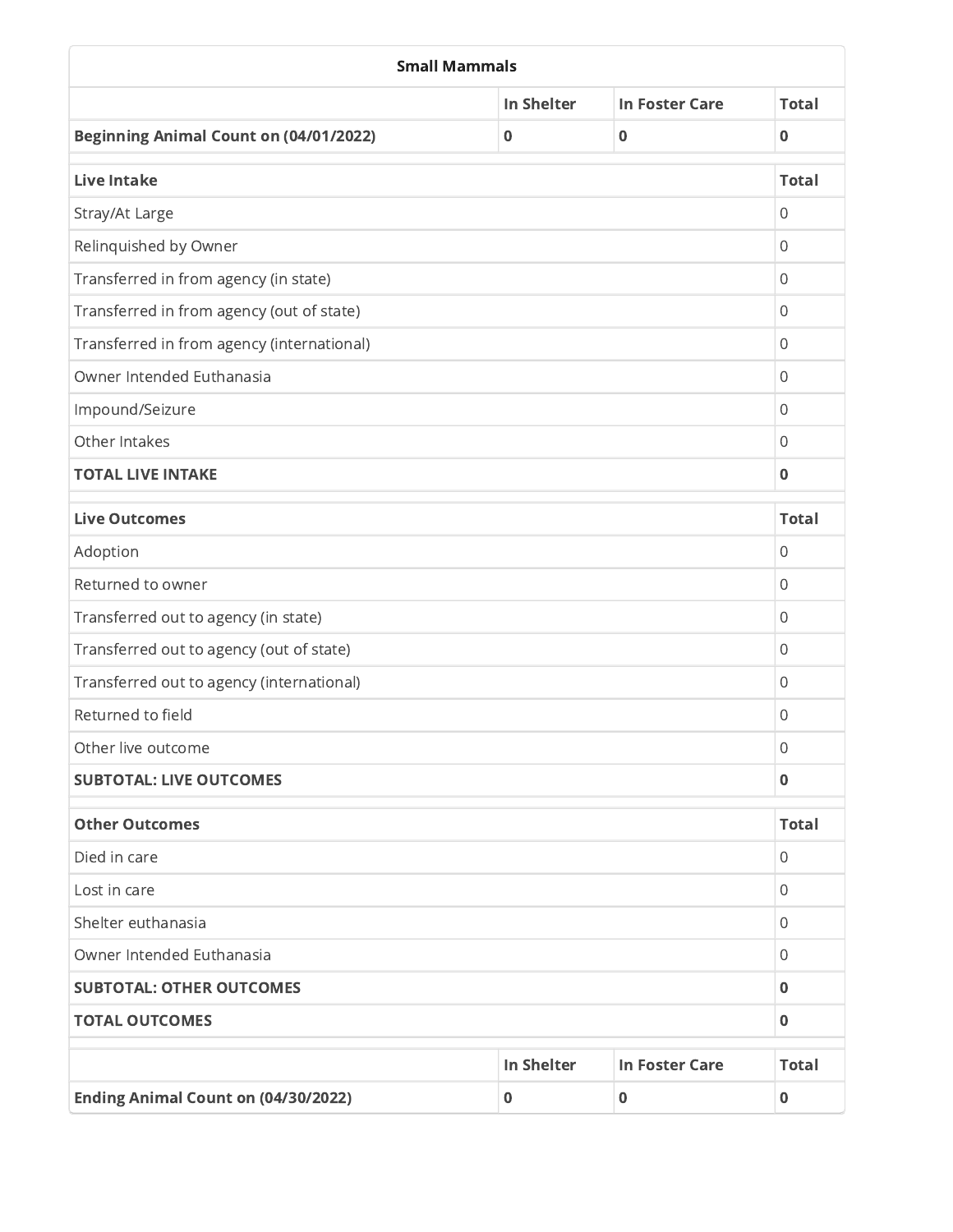| <b>Small Mammals</b>                          |                   |                       |                |  |
|-----------------------------------------------|-------------------|-----------------------|----------------|--|
|                                               | <b>In Shelter</b> | <b>In Foster Care</b> | <b>Total</b>   |  |
| <b>Beginning Animal Count on (04/01/2022)</b> | $\bf{0}$          | 0                     | $\mathbf 0$    |  |
| <b>Live Intake</b>                            |                   |                       | <b>Total</b>   |  |
| Stray/At Large                                |                   |                       | $\overline{0}$ |  |
| Relinquished by Owner                         |                   |                       | $\mathbf 0$    |  |
| Transferred in from agency (in state)         |                   |                       | $\mathbf{0}$   |  |
| Transferred in from agency (out of state)     |                   |                       |                |  |
| Transferred in from agency (international)    |                   |                       | $\mathbf 0$    |  |
| Owner Intended Euthanasia                     |                   |                       | $\mathbf 0$    |  |
| Impound/Seizure                               |                   |                       | $\overline{0}$ |  |
| Other Intakes                                 |                   |                       | $\overline{0}$ |  |
| <b>TOTAL LIVE INTAKE</b>                      |                   |                       | $\bf{0}$       |  |
| <b>Live Outcomes</b>                          |                   |                       | <b>Total</b>   |  |
| Adoption                                      |                   |                       | $\mathbf 0$    |  |
| Returned to owner                             |                   |                       | $\mathbf{0}$   |  |
| Transferred out to agency (in state)          |                   |                       | $\mathbf 0$    |  |
| Transferred out to agency (out of state)      |                   |                       | $\Omega$       |  |
| Transferred out to agency (international)     |                   |                       | $\mathbf{0}$   |  |
| Returned to field                             |                   |                       | 0              |  |
| Other live outcome                            |                   |                       | 0              |  |
| <b>SUBTOTAL: LIVE OUTCOMES</b>                |                   |                       | $\mathbf 0$    |  |
| <b>Other Outcomes</b>                         |                   |                       | <b>Total</b>   |  |
| Died in care                                  |                   |                       | $\mathbf{0}$   |  |
| Lost in care                                  |                   |                       |                |  |
| Shelter euthanasia                            |                   |                       |                |  |
| Owner Intended Euthanasia                     |                   |                       |                |  |
| <b>SUBTOTAL: OTHER OUTCOMES</b>               |                   |                       |                |  |
| <b>TOTAL OUTCOMES</b>                         |                   |                       | $\mathbf 0$    |  |
|                                               | <b>In Shelter</b> | <b>In Foster Care</b> | <b>Total</b>   |  |
| <b>Ending Animal Count on (04/30/2022)</b>    | $\mathbf 0$       | $\bf{0}$              | $\bf{0}$       |  |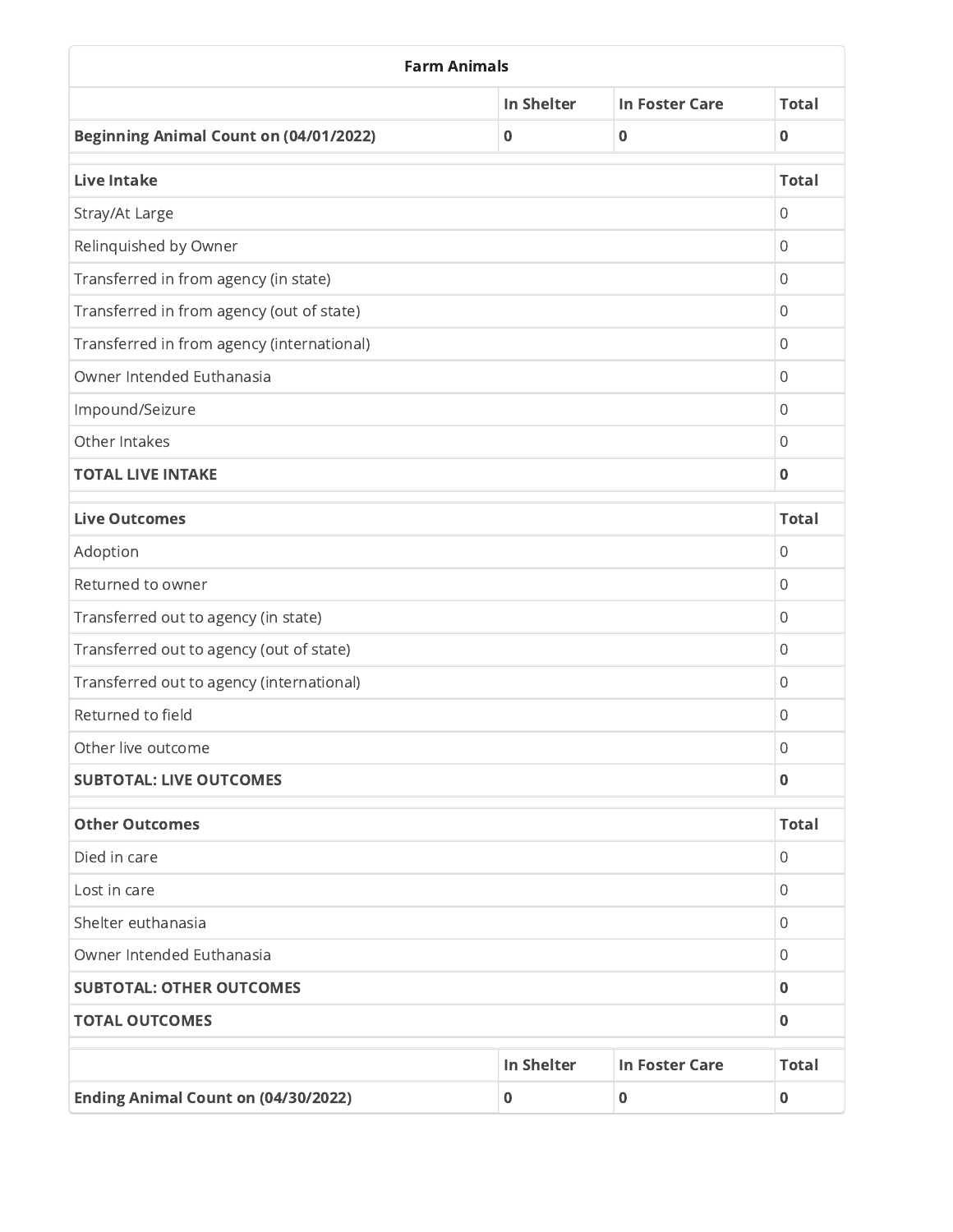| <b>Farm Animals</b>                           |                   |                       |                |  |
|-----------------------------------------------|-------------------|-----------------------|----------------|--|
|                                               | <b>In Shelter</b> | <b>In Foster Care</b> | <b>Total</b>   |  |
| <b>Beginning Animal Count on (04/01/2022)</b> | $\mathbf 0$       | $\bf{0}$              | $\mathbf 0$    |  |
| <b>Live Intake</b>                            |                   |                       | <b>Total</b>   |  |
| Stray/At Large                                |                   |                       | $\mathbf{0}$   |  |
| Relinquished by Owner                         |                   |                       | $\mathbf 0$    |  |
| Transferred in from agency (in state)         |                   |                       | $\mathbf{0}$   |  |
| Transferred in from agency (out of state)     |                   |                       | $\mathbf{0}$   |  |
| Transferred in from agency (international)    |                   |                       | $\mathbf{0}$   |  |
| Owner Intended Euthanasia                     |                   |                       | $\mathbf 0$    |  |
| Impound/Seizure                               |                   |                       | $\mathbf{0}$   |  |
| Other Intakes                                 |                   |                       | $\mathbf{0}$   |  |
| <b>TOTAL LIVE INTAKE</b>                      |                   |                       | $\mathbf 0$    |  |
| <b>Live Outcomes</b>                          |                   |                       | <b>Total</b>   |  |
| Adoption                                      |                   |                       | $\mathbf 0$    |  |
| Returned to owner                             |                   |                       | $\mathbf{0}$   |  |
| Transferred out to agency (in state)          |                   |                       | $\overline{0}$ |  |
| Transferred out to agency (out of state)      |                   |                       | 0              |  |
| Transferred out to agency (international)     |                   |                       | $\mathbf 0$    |  |
| Returned to field                             |                   |                       | 0              |  |
| Other live outcome                            |                   |                       | 0              |  |
| <b>SUBTOTAL: LIVE OUTCOMES</b>                |                   |                       | $\mathbf 0$    |  |
| <b>Other Outcomes</b>                         |                   |                       | <b>Total</b>   |  |
| Died in care                                  |                   |                       | 0              |  |
| Lost in care                                  |                   |                       | $\,0\,$        |  |
| Shelter euthanasia                            |                   |                       | $\mathbf 0$    |  |
| Owner Intended Euthanasia                     |                   |                       | $\mathbf{0}$   |  |
| <b>SUBTOTAL: OTHER OUTCOMES</b>               |                   |                       | $\bf{0}$       |  |
| <b>TOTAL OUTCOMES</b>                         |                   |                       | $\mathbf 0$    |  |
|                                               | In Shelter        | <b>In Foster Care</b> | <b>Total</b>   |  |
| <b>Ending Animal Count on (04/30/2022)</b>    | $\mathbf 0$       | $\mathbf 0$           | $\bf{0}$       |  |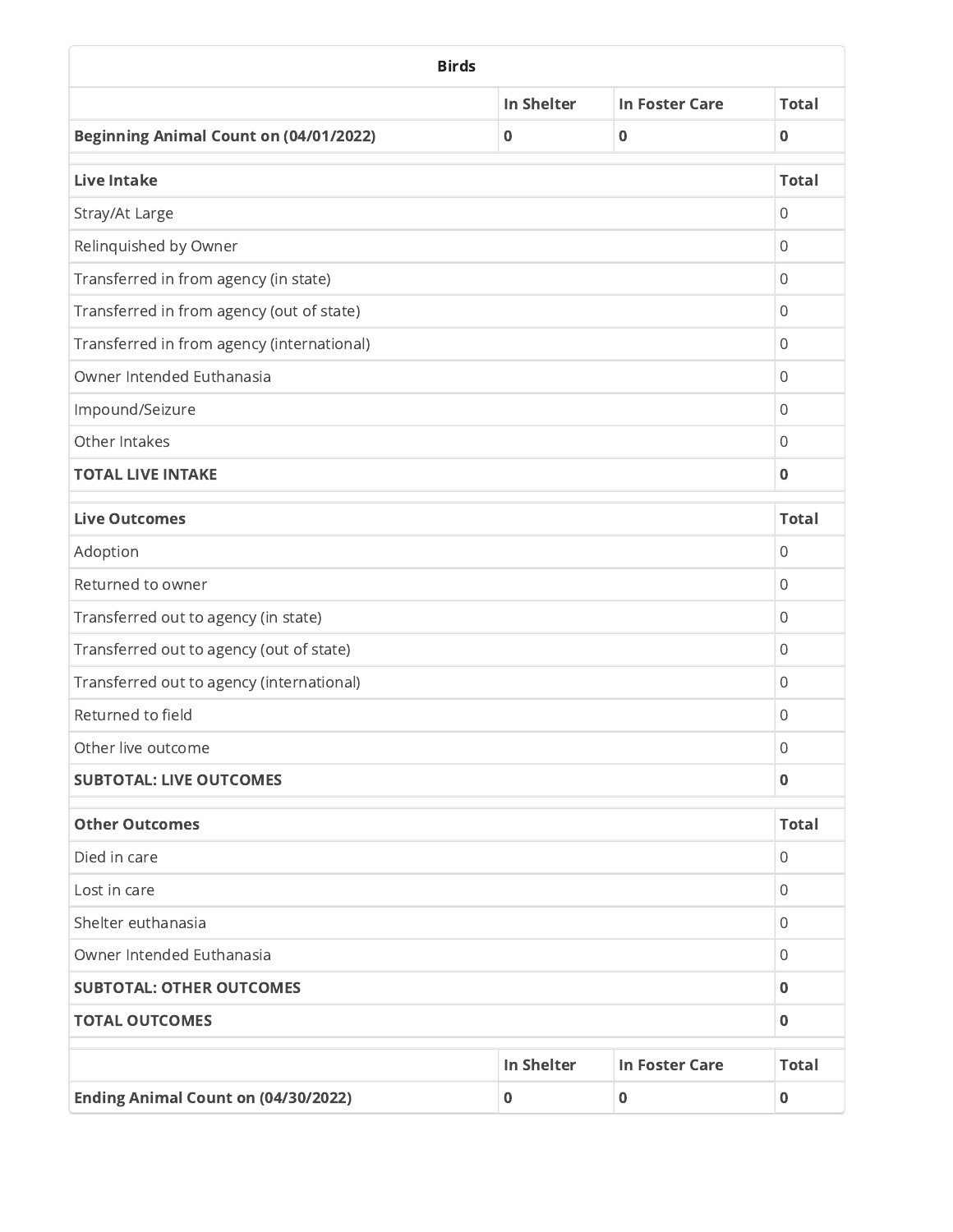| <b>Birds</b>                                  |                   |                       |                |  |
|-----------------------------------------------|-------------------|-----------------------|----------------|--|
|                                               | <b>In Shelter</b> | <b>In Foster Care</b> | <b>Total</b>   |  |
| <b>Beginning Animal Count on (04/01/2022)</b> | $\mathbf 0$       | $\bf{0}$              | $\mathbf 0$    |  |
| <b>Live Intake</b>                            |                   |                       | <b>Total</b>   |  |
| Stray/At Large                                |                   |                       | 0              |  |
| Relinquished by Owner                         |                   |                       | $\overline{0}$ |  |
| Transferred in from agency (in state)         |                   |                       | 0              |  |
| Transferred in from agency (out of state)     |                   |                       | $\overline{0}$ |  |
| Transferred in from agency (international)    |                   |                       | $\mathbf{0}$   |  |
| Owner Intended Euthanasia                     |                   |                       | $\mathbf 0$    |  |
| Impound/Seizure                               |                   |                       | $\mathbf{0}$   |  |
| Other Intakes                                 |                   |                       | $\overline{0}$ |  |
| <b>TOTAL LIVE INTAKE</b>                      |                   |                       | $\bf{0}$       |  |
| <b>Live Outcomes</b>                          |                   |                       | <b>Total</b>   |  |
| Adoption                                      |                   |                       | $\mathbf{0}$   |  |
| Returned to owner                             |                   |                       | $\mathbf 0$    |  |
| Transferred out to agency (in state)          |                   |                       | $\mathbf 0$    |  |
| Transferred out to agency (out of state)      |                   |                       | $\mathbf{0}$   |  |
| Transferred out to agency (international)     |                   |                       | $\mathbf{0}$   |  |
| Returned to field                             |                   |                       | $\overline{0}$ |  |
| Other live outcome                            |                   |                       | $\mathbf 0$    |  |
| <b>SUBTOTAL: LIVE OUTCOMES</b>                |                   |                       | $\mathbf 0$    |  |
| <b>Other Outcomes</b>                         |                   |                       | <b>Total</b>   |  |
| Died in care                                  |                   |                       | 0              |  |
| Lost in care                                  |                   |                       |                |  |
| Shelter euthanasia                            |                   |                       |                |  |
| Owner Intended Euthanasia                     |                   |                       |                |  |
| <b>SUBTOTAL: OTHER OUTCOMES</b>               |                   |                       |                |  |
| <b>TOTAL OUTCOMES</b>                         |                   |                       | $\pmb{0}$      |  |
|                                               | In Shelter        | <b>In Foster Care</b> | <b>Total</b>   |  |
| <b>Ending Animal Count on (04/30/2022)</b>    | 0                 | $\mathbf 0$           | $\pmb{0}$      |  |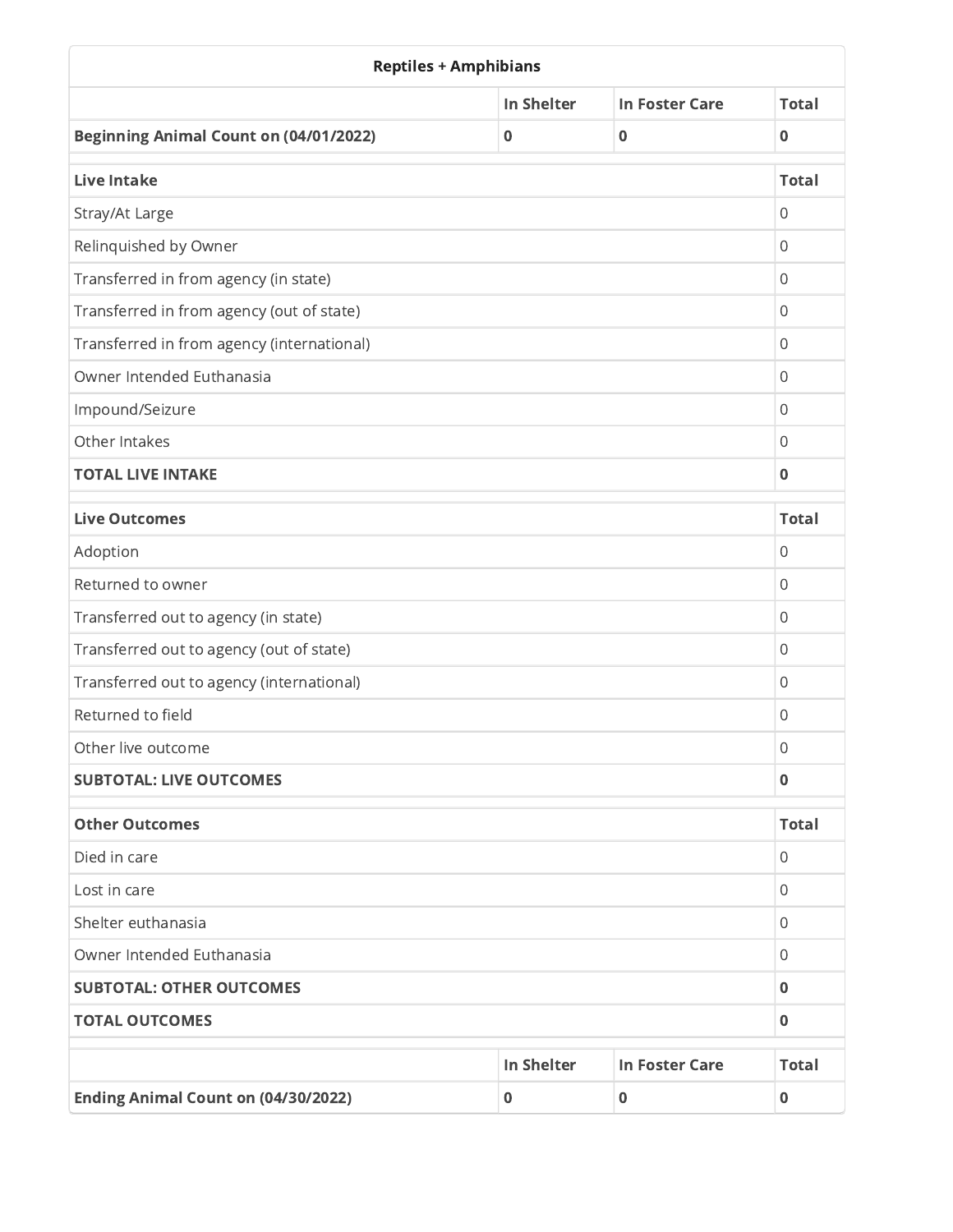| <b>Reptiles + Amphibians</b>                  |                   |                       |                |  |
|-----------------------------------------------|-------------------|-----------------------|----------------|--|
|                                               | <b>In Shelter</b> | <b>In Foster Care</b> | <b>Total</b>   |  |
| <b>Beginning Animal Count on (04/01/2022)</b> | $\mathbf 0$       | 0                     | $\mathbf 0$    |  |
| <b>Live Intake</b>                            |                   |                       | <b>Total</b>   |  |
| Stray/At Large                                |                   |                       | $\overline{0}$ |  |
| Relinquished by Owner                         |                   |                       | $\mathbf 0$    |  |
| Transferred in from agency (in state)         |                   |                       | $\mathbf{0}$   |  |
| Transferred in from agency (out of state)     |                   |                       |                |  |
| Transferred in from agency (international)    |                   |                       | $\overline{0}$ |  |
| Owner Intended Euthanasia                     |                   |                       | $\overline{0}$ |  |
| Impound/Seizure                               |                   |                       | $\mathbf{0}$   |  |
| Other Intakes                                 |                   |                       | $\overline{0}$ |  |
| <b>TOTAL LIVE INTAKE</b>                      |                   |                       | $\mathbf 0$    |  |
| <b>Live Outcomes</b>                          |                   |                       | <b>Total</b>   |  |
| Adoption                                      |                   |                       | $\mathbf 0$    |  |
| Returned to owner                             |                   |                       | $\mathbf{0}$   |  |
| Transferred out to agency (in state)          |                   |                       | $\mathbf 0$    |  |
| Transferred out to agency (out of state)      |                   |                       | 0              |  |
| Transferred out to agency (international)     |                   |                       | $\mathbf{0}$   |  |
| Returned to field                             |                   |                       | 0              |  |
| Other live outcome                            |                   |                       | 0              |  |
| <b>SUBTOTAL: LIVE OUTCOMES</b>                |                   |                       | $\mathbf 0$    |  |
| <b>Other Outcomes</b>                         |                   |                       | <b>Total</b>   |  |
| Died in care                                  |                   |                       | $\mathbf{0}$   |  |
| Lost in care                                  |                   |                       |                |  |
| Shelter euthanasia                            |                   |                       |                |  |
| Owner Intended Euthanasia                     |                   |                       |                |  |
| <b>SUBTOTAL: OTHER OUTCOMES</b>               |                   |                       | $\bf{0}$       |  |
| <b>TOTAL OUTCOMES</b>                         |                   |                       | $\mathbf 0$    |  |
|                                               | <b>In Shelter</b> | <b>In Foster Care</b> | <b>Total</b>   |  |
| <b>Ending Animal Count on (04/30/2022)</b>    | 0                 | $\mathbf 0$           | $\bf{0}$       |  |